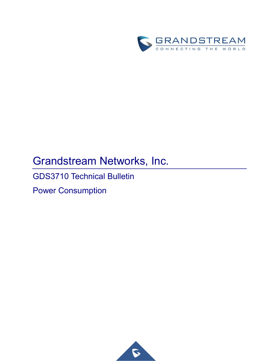

# Grandstream Networks, Inc.

GDS3710 Technical Bulletin

Power Consumption

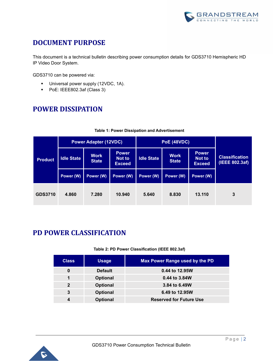

# **DOCUMENT PURPOSE**

This document is a technical bulletin describing power consumption details for GDS3710 Hemispheric HD IP Video Door System.

GDS3710 can be powered via:

- **■** Universal power supply (12VDC, 1A).
- PoE: IEEE802.3af (Class 3)

### **POWER DISSIPATION**

| <b>Product</b> | <b>Power Adapter (12VDC)</b> |                             |                                         | <b>PoE (48VDC)</b> |                             |                                                |                                         |
|----------------|------------------------------|-----------------------------|-----------------------------------------|--------------------|-----------------------------|------------------------------------------------|-----------------------------------------|
|                | <b>Idle State</b>            | <b>Work</b><br><b>State</b> | <b>Power</b><br>Not to<br><b>Exceed</b> | <b>Idle State</b>  | <b>Work</b><br><b>State</b> | <b>Power</b><br><b>Not to</b><br><b>Exceed</b> | <b>Classification</b><br>(IEEE 802.3af) |
|                | Power (W)                    | Power (W)                   | Power (W)                               | Power (W)          | Power (W)                   | Power (W)                                      |                                         |
| <b>GDS3710</b> | 4.860                        | 7.280                       | 10.940                                  | 5.640              | 8.830                       | 13.110                                         | 3                                       |

#### **Table 1: Power Dissipation and Advertisement**

### **PD POWER CLASSIFICATION**

#### **Table 2: PD Power Classification (IEEE 802.3af)**

| <b>Class</b>   | <b>Usage</b>    | Max Power Range used by the PD |
|----------------|-----------------|--------------------------------|
| 0              | <b>Default</b>  | 0.44 to 12.95W                 |
|                | <b>Optional</b> | 0.44 to 3.84W                  |
| $\overline{2}$ | <b>Optional</b> | 3.84 to 6.49W                  |
| 3              | <b>Optional</b> | 6.49 to 12.95W                 |
|                | <b>Optional</b> | <b>Reserved for Future Use</b> |